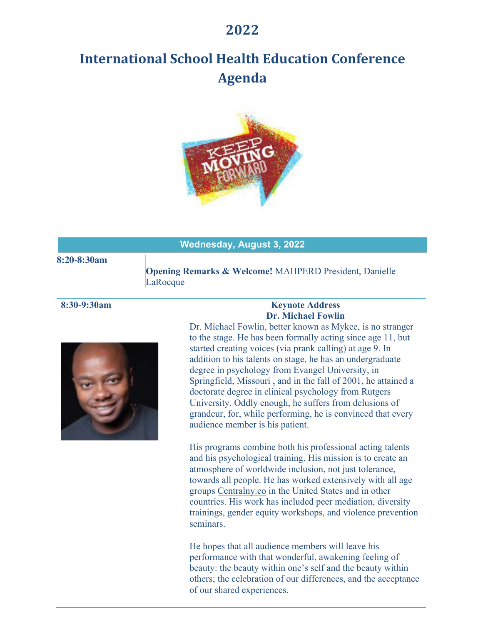## **2022**

# **International School Health Education Conference Agenda**



#### **Wednesday, August 3, 2022**

#### **Opening Remarks & Welcome!** MAHPERD President, Danielle LaRocque

**8:20-8:30am**



### **8:30-9:30am Keynote Address Dr. Michael Fowlin**

Dr. Michael Fowlin, better known as Mykee, is no stranger to the stage. He has been formally acting since age 11, but started creating voices (via prank calling) at age 9. In addition to his talents on stage, he has an undergraduate degree in psychology from Evangel University, in Springfield, Missouri , and in the fall of 2001, he attained a doctorate degree in clinical psychology from Rutgers University. Oddly enough, he suffers from delusions of grandeur, for, while performing, he is convinced that every audience member is his patient.

His programs combine both his professional acting talents and his psychological training. His mission is to create an atmosphere of worldwide inclusion, not just tolerance, towards all people. He has worked extensively with all age groups Centralny.co in the United States and in other countries. His work has included peer mediation, diversity trainings, gender equity workshops, and violence prevention seminars.

He hopes that all audience members will leave his performance with that wonderful, awakening feeling of beauty: the beauty within one's self and the beauty within others; the celebration of our differences, and the acceptance of our shared experiences.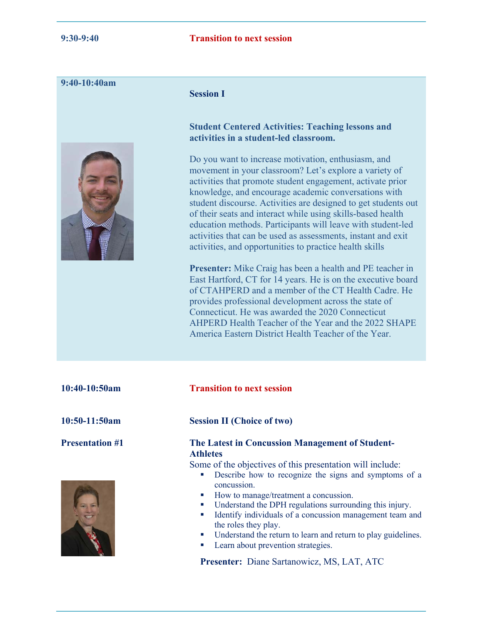#### **9:40-10:40am**



#### **Session I**

#### **Student Centered Activities: Teaching lessons and activities in a student-led classroom.**

Do you want to increase motivation, enthusiasm, and movement in your classroom? Let's explore a variety of activities that promote student engagement, activate prior knowledge, and encourage academic conversations with student discourse. Activities are designed to get students out of their seats and interact while using skills-based health education methods. Participants will leave with student-led activities that can be used as assessments, instant and exit activities, and opportunities to practice health skills

**Presenter:** Mike Craig has been a health and PE teacher in East Hartford, CT for 14 years. He is on the executive board of CTAHPERD and a member of the CT Health Cadre. He provides professional development across the state of Connecticut. He was awarded the 2020 Connecticut AHPERD Health Teacher of the Year and the 2022 SHAPE America Eastern District Health Teacher of the Year.

| 10:40-10:50am          | <b>Transition to next session</b>                                                                                                                                                                                                                                                                                                                                                                                                                                                                                                                                                   |
|------------------------|-------------------------------------------------------------------------------------------------------------------------------------------------------------------------------------------------------------------------------------------------------------------------------------------------------------------------------------------------------------------------------------------------------------------------------------------------------------------------------------------------------------------------------------------------------------------------------------|
| $10:50-11:50am$        | <b>Session II (Choice of two)</b>                                                                                                                                                                                                                                                                                                                                                                                                                                                                                                                                                   |
| <b>Presentation #1</b> | <b>The Latest in Concussion Management of Student-</b><br><b>Athletes</b><br>Some of the objectives of this presentation will include:<br>Describe how to recognize the signs and symptoms of a<br>$\mathcal{L}_{\mathcal{A}}$<br>concussion.<br>How to manage/treatment a concussion.<br>$\sim$<br>Understand the DPH regulations surrounding this injury.<br>$\mathcal{L}_{\mathcal{A}}$<br>Identify individuals of a concussion management team and<br>$\mathcal{L}_{\mathcal{A}}$<br>the roles they play.<br>Understand the return to learn and return to play guidelines.<br>ш |

**Presenter:** Diane Sartanowicz, MS, LAT, ATC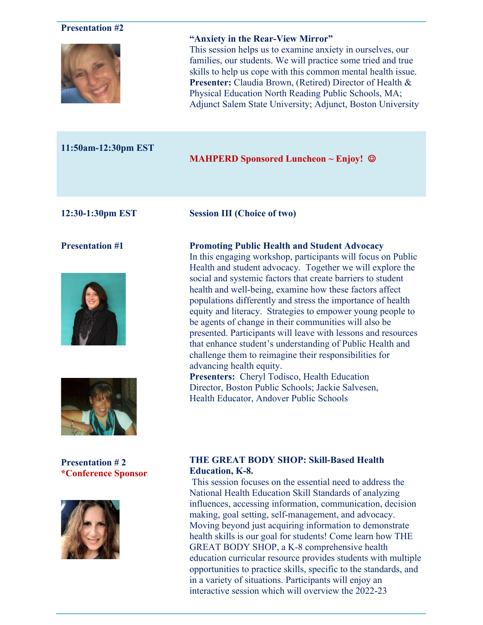| <b>Presentation #2</b>                        | "Anxiety in the Rear-View Mirror"<br>This session helps us to examine anxiety in ourselves, our<br>families, our students. We will practice some tried and true<br>skills to help us cope with this common mental health issue.<br>Presenter: Claudia Brown, (Retired) Director of Health &<br>Physical Education North Reading Public Schools, MA;<br>Adjunct Salem State University; Adjunct, Boston University                                                                                                                                                                                                                                                                                                                                                                                                                                                           |
|-----------------------------------------------|-----------------------------------------------------------------------------------------------------------------------------------------------------------------------------------------------------------------------------------------------------------------------------------------------------------------------------------------------------------------------------------------------------------------------------------------------------------------------------------------------------------------------------------------------------------------------------------------------------------------------------------------------------------------------------------------------------------------------------------------------------------------------------------------------------------------------------------------------------------------------------|
| 11:50am-12:30pm EST                           | <b>MAHPERD Sponsored Luncheon ~ Enjoy! <math>\odot</math></b>                                                                                                                                                                                                                                                                                                                                                                                                                                                                                                                                                                                                                                                                                                                                                                                                               |
| 12:30-1:30pm EST                              | <b>Session III (Choice of two)</b>                                                                                                                                                                                                                                                                                                                                                                                                                                                                                                                                                                                                                                                                                                                                                                                                                                          |
| <b>Presentation #1</b>                        | <b>Promoting Public Health and Student Advocacy</b><br>In this engaging workshop, participants will focus on Public<br>Health and student advocacy. Together we will explore the<br>social and systemic factors that create barriers to student<br>health and well-being, examine how these factors affect<br>populations differently and stress the importance of health<br>equity and literacy. Strategies to empower young people to<br>be agents of change in their communities will also be<br>presented. Participants will leave with lessons and resources<br>that enhance student's understanding of Public Health and<br>challenge them to reimagine their responsibilities for<br>advancing health equity.<br><b>Presenters:</b> Cheryl Todisco, Health Education<br>Director, Boston Public Schools; Jackie Salvesen,<br>Health Educator, Andover Public Schools |
| <b>Presentation #2</b><br>*Conference Sponsor | <b>THE GREAT BODY SHOP: Skill-Based Health</b><br><b>Education</b> , K-8.<br>This session focuses on the essential need to address the<br>National Health Education Skill Standards of analyzing<br>influences, accessing information, communication, decision<br>making, goal setting, self-management, and advocacy.<br>Moving beyond just acquiring information to demonstrate<br>health skills is our goal for students! Come learn how THE<br>GREAT BODY SHOP, a K-8 comprehensive health<br>education curricular resource provides students with multiple                                                                                                                                                                                                                                                                                                             |

opportunities to practice skills, specific to the standards, and in a variety of situations. Participants will enjoy an interactive session which will overview the 2022-23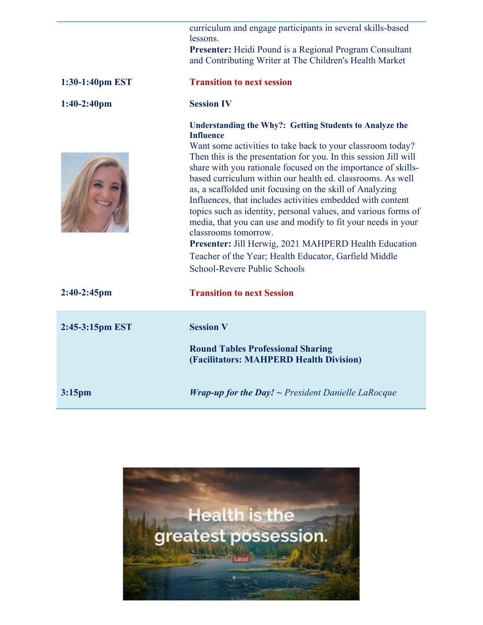curriculum and engage participants in several skills-based lessons.

**Presenter:** Heidi Pound is a Regional Program Consultant and Contributing Writer at The Children's Health Market

| 1:30-1:40pm EST    | <b>Transition to next session</b>                                                                                                                                                                                                                                                                                                                                                                                                                                                                                                                                                                                                                                                                                                                                                         |
|--------------------|-------------------------------------------------------------------------------------------------------------------------------------------------------------------------------------------------------------------------------------------------------------------------------------------------------------------------------------------------------------------------------------------------------------------------------------------------------------------------------------------------------------------------------------------------------------------------------------------------------------------------------------------------------------------------------------------------------------------------------------------------------------------------------------------|
| $1:40-2:40$ pm     | <b>Session IV</b>                                                                                                                                                                                                                                                                                                                                                                                                                                                                                                                                                                                                                                                                                                                                                                         |
|                    | <b>Understanding the Why?: Getting Students to Analyze the</b><br><b>Influence</b><br>Want some activities to take back to your classroom today?<br>Then this is the presentation for you. In this session Jill will<br>share with you rationale focused on the importance of skills-<br>based curriculum within our health ed. classrooms. As well<br>as, a scaffolded unit focusing on the skill of Analyzing<br>Influences, that includes activities embedded with content<br>topics such as identity, personal values, and various forms of<br>media, that you can use and modify to fit your needs in your<br>classrooms tomorrow.<br>Presenter: Jill Herwig, 2021 MAHPERD Health Education<br>Teacher of the Year; Health Educator, Garfield Middle<br>School-Revere Public Schools |
| $2:40-2:45$ pm     | <b>Transition to next Session</b>                                                                                                                                                                                                                                                                                                                                                                                                                                                                                                                                                                                                                                                                                                                                                         |
| 2:45-3:15pm EST    | <b>Session V</b><br><b>Round Tables Professional Sharing</b><br>(Facilitators: MAHPERD Health Division)                                                                                                                                                                                                                                                                                                                                                                                                                                                                                                                                                                                                                                                                                   |
| 3:15 <sub>pm</sub> | <b>Wrap-up for the Day!</b> $\sim$ President Danielle LaRocque                                                                                                                                                                                                                                                                                                                                                                                                                                                                                                                                                                                                                                                                                                                            |

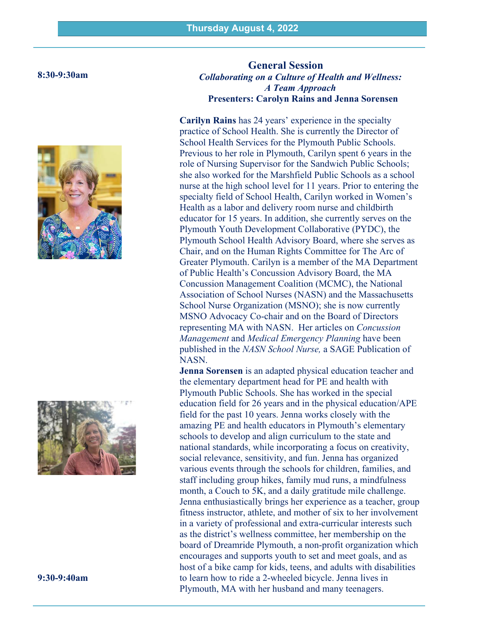#### **8:30-9:30am**





**9:30-9:40am**

#### **General Session** *Collaborating on a Culture of Health and Wellness: A Team Approach*  **Presenters: Carolyn Rains and Jenna Sorensen**

**Carilyn Rains** has 24 years' experience in the specialty practice of School Health. She is currently the Director of School Health Services for the Plymouth Public Schools. Previous to her role in Plymouth, Carilyn spent 6 years in the role of Nursing Supervisor for the Sandwich Public Schools; she also worked for the Marshfield Public Schools as a school nurse at the high school level for 11 years. Prior to entering the specialty field of School Health, Carilyn worked in Women's Health as a labor and delivery room nurse and childbirth educator for 15 years. In addition, she currently serves on the Plymouth Youth Development Collaborative (PYDC), the Plymouth School Health Advisory Board, where she serves as Chair, and on the Human Rights Committee for The Arc of Greater Plymouth. Carilyn is a member of the MA Department of Public Health's Concussion Advisory Board, the MA Concussion Management Coalition (MCMC), the National Association of School Nurses (NASN) and the Massachusetts School Nurse Organization (MSNO); she is now currently MSNO Advocacy Co-chair and on the Board of Directors representing MA with NASN. Her articles on *Concussion Management* and *Medical Emergency Planning* have been published in the *NASN School Nurse,* a SAGE Publication of NASN.

**Jenna Sorensen** is an adapted physical education teacher and the elementary department head for PE and health with Plymouth Public Schools. She has worked in the special education field for 26 years and in the physical education/APE field for the past 10 years. Jenna works closely with the amazing PE and health educators in Plymouth's elementary schools to develop and align curriculum to the state and national standards, while incorporating a focus on creativity, social relevance, sensitivity, and fun. Jenna has organized various events through the schools for children, families, and staff including group hikes, family mud runs, a mindfulness month, a Couch to 5K, and a daily gratitude mile challenge. Jenna enthusiastically brings her experience as a teacher, group fitness instructor, athlete, and mother of six to her involvement in a variety of professional and extra-curricular interests such as the district's wellness committee, her membership on the board of Dreamride Plymouth, a non-profit organization which encourages and supports youth to set and meet goals, and as host of a bike camp for kids, teens, and adults with disabilities to learn how to ride a 2-wheeled bicycle. Jenna lives in Plymouth, MA with her husband and many teenagers.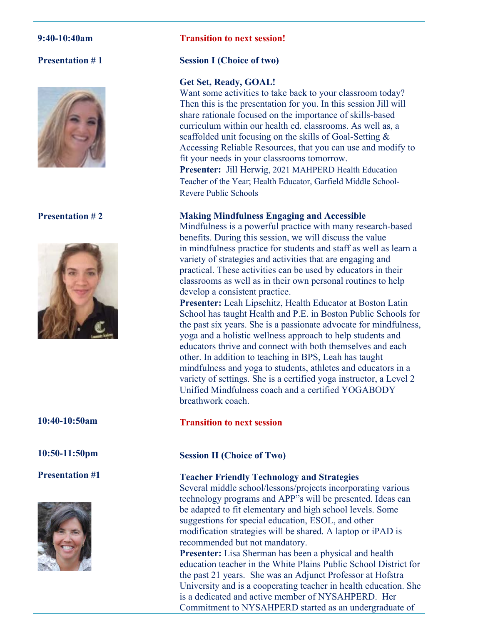#### **9:40-10:40am**

### **Presentation # 1**



#### **Presentation # 2**



#### **10:40-10:50am**

**10:50-11:50pm**

#### **Presentation #1**



#### **Transition to next session!**

#### **Session I (Choice of two)**

#### **Get Set, Ready, GOAL!**

Want some activities to take back to your classroom today? Then this is the presentation for you. In this session Jill will share rationale focused on the importance of skills-based curriculum within our health ed. classrooms. As well as, a scaffolded unit focusing on the skills of Goal-Setting & Accessing Reliable Resources, that you can use and modify to fit your needs in your classrooms tomorrow.

**Presenter:** Jill Herwig, 2021 MAHPERD Health Education Teacher of the Year; Health Educator, Garfield Middle School-Revere Public Schools

#### **Making Mindfulness Engaging and Accessible**

Mindfulness is a powerful practice with many research-based benefits. During this session, we will discuss the value in mindfulness practice for students and staff as well as learn a variety of strategies and activities that are engaging and practical. These activities can be used by educators in their classrooms as well as in their own personal routines to help develop a consistent practice.

**Presenter:** Leah Lipschitz, Health Educator at Boston Latin School has taught Health and P.E. in Boston Public Schools for the past six years. She is a passionate advocate for mindfulness, yoga and a holistic wellness approach to help students and educators thrive and connect with both themselves and each other. In addition to teaching in BPS, Leah has taught mindfulness and yoga to students, athletes and educators in a variety of settings. She is a certified yoga instructor, a Level 2 Unified Mindfulness coach and a certified YOGABODY breathwork coach.

#### **Transition to next session**

#### **Session II (Choice of Two)**

#### **Teacher Friendly Technology and Strategies**

Several middle school/lessons/projects incorporating various technology programs and APP"s will be presented. Ideas can be adapted to fit elementary and high school levels. Some suggestions for special education, ESOL, and other modification strategies will be shared. A laptop or iPAD is recommended but not mandatory.

**Presenter:** Lisa Sherman has been a physical and health education teacher in the White Plains Public School District for the past 21 years. She was an Adjunct Professor at Hofstra University and is a cooperating teacher in health education. She is a dedicated and active member of NYSAHPERD. Her Commitment to NYSAHPERD started as an undergraduate of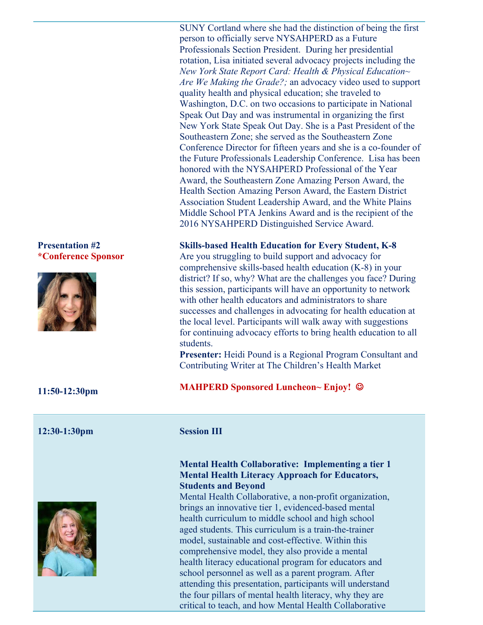#### **Presentation #2 \*Conference Sponsor**



#### **11:50-12:30pm**

#### **12:30-1:30pm Session III**

![](_page_6_Picture_4.jpeg)

SUNY Cortland where she had the distinction of being the first person to officially serve NYSAHPERD as a Future Professionals Section President. During her presidential rotation, Lisa initiated several advocacy projects including the *New York State Report Card: Health & Physical Education~ Are We Making the Grade?;* an advocacy video used to support quality health and physical education; she traveled to Washington, D.C. on two occasions to participate in National Speak Out Day and was instrumental in organizing the first New York State Speak Out Day. She is a Past President of the Southeastern Zone; she served as the Southeastern Zone Conference Director for fifteen years and she is a co-founder of the Future Professionals Leadership Conference. Lisa has been honored with the NYSAHPERD Professional of the Year Award, the Southeastern Zone Amazing Person Award, the Health Section Amazing Person Award, the Eastern District Association Student Leadership Award, and the White Plains Middle School PTA Jenkins Award and is the recipient of the 2016 NYSAHPERD Distinguished Service Award.

#### **Skills-based Health Education for Every Student, K-8**

Are you struggling to build support and advocacy for comprehensive skills-based health education (K-8) in your district? If so, why? What are the challenges you face? During this session, participants will have an opportunity to network with other health educators and administrators to share successes and challenges in advocating for health education at the local level. Participants will walk away with suggestions for continuing advocacy efforts to bring health education to all students.

**Presenter:** Heidi Pound is a Regional Program Consultant and Contributing Writer at The Children's Health Market

#### **MAHPERD Sponsored Luncheon~ Enjoy! ©**

#### **Mental Health Collaborative: Implementing a tier 1 Mental Health Literacy Approach for Educators, Students and Beyond**

Mental Health Collaborative, a non-profit organization, brings an innovative tier 1, evidenced-based mental health curriculum to middle school and high school aged students. This curriculum is a train-the-trainer model, sustainable and cost-effective. Within this comprehensive model, they also provide a mental health literacy educational program for educators and school personnel as well as a parent program. After attending this presentation, participants will understand the four pillars of mental health literacy, why they are critical to teach, and how Mental Health Collaborative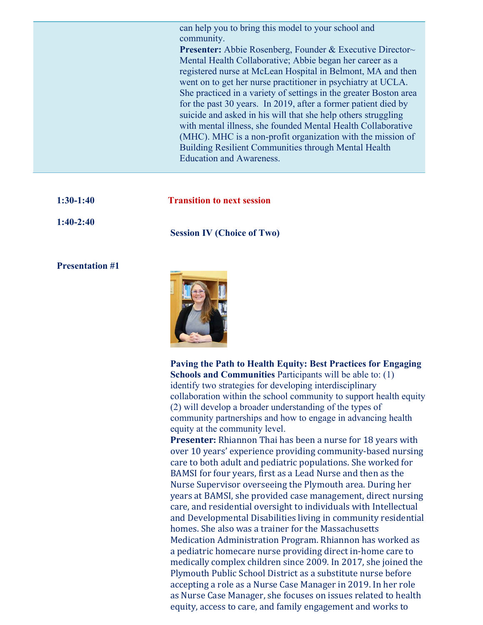can help you to bring this model to your school and community.

**Presenter:** Abbie Rosenberg, Founder & Executive Director~ Mental Health Collaborative; Abbie began her career as a registered nurse at McLean Hospital in Belmont, MA and then went on to get her nurse practitioner in psychiatry at UCLA. She practiced in a variety of settings in the greater Boston area for the past 30 years. In 2019, after a former patient died by suicide and asked in his will that she help others struggling with mental illness, she founded Mental Health Collaborative (MHC). MHC is a non-profit organization with the mission of Building Resilient Communities through Mental Health Education and Awareness.

| $1:30-1:40$ | <b>Transition to next session</b> |
|-------------|-----------------------------------|
| $1:40-2:40$ | <b>Session IV (Choice of Two)</b> |

#### **Presentation #1**

![](_page_7_Picture_4.jpeg)

**Paving the Path to Health Equity: Best Practices for Engaging Schools and Communities** Participants will be able to: (1) identify two strategies for developing interdisciplinary collaboration within the school community to support health equity (2) will develop a broader understanding of the types of community partnerships and how to engage in advancing health equity at the community level.

**Presenter:** Rhiannon Thai has been a nurse for 18 years with over 10 years' experience providing community-based nursing care to both adult and pediatric populations. She worked for BAMSI for four years, first as a Lead Nurse and then as the Nurse Supervisor overseeing the Plymouth area. During her vears at BAMSI, she provided case management, direct nursing care, and residential oversight to individuals with Intellectual and Developmental Disabilities living in community residential homes. She also was a trainer for the Massachusetts Medication Administration Program. Rhiannon has worked as a pediatric homecare nurse providing direct in-home care to medically complex children since 2009. In 2017, she joined the Plymouth Public School District as a substitute nurse before accepting a role as a Nurse Case Manager in 2019. In her role as Nurse Case Manager, she focuses on issues related to health equity, access to care, and family engagement and works to